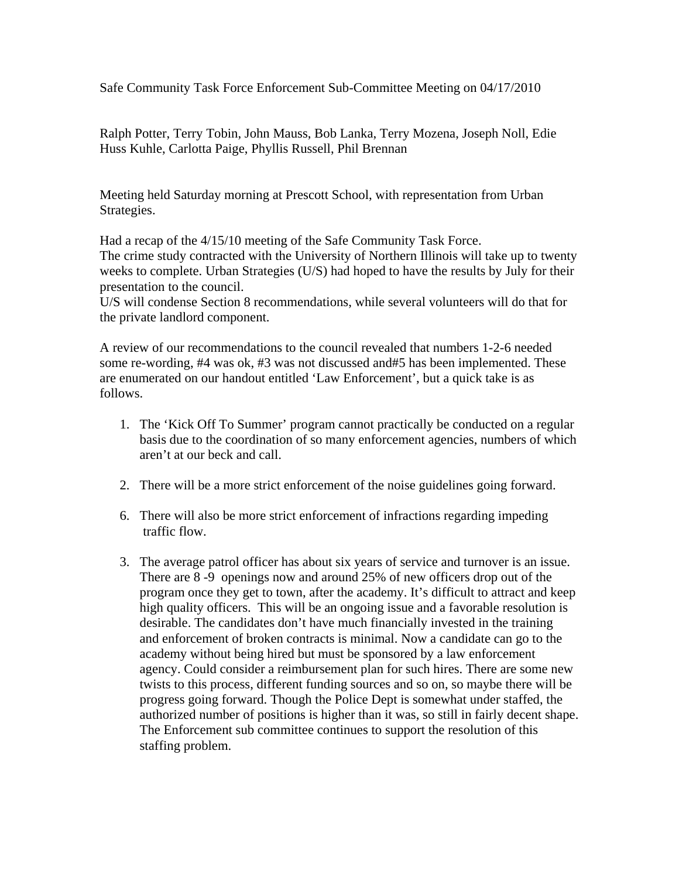Safe Community Task Force Enforcement Sub-Committee Meeting on 04/17/2010

Ralph Potter, Terry Tobin, John Mauss, Bob Lanka, Terry Mozena, Joseph Noll, Edie Huss Kuhle, Carlotta Paige, Phyllis Russell, Phil Brennan

Meeting held Saturday morning at Prescott School, with representation from Urban Strategies.

Had a recap of the 4/15/10 meeting of the Safe Community Task Force.

The crime study contracted with the University of Northern Illinois will take up to twenty weeks to complete. Urban Strategies (U/S) had hoped to have the results by July for their presentation to the council.

U/S will condense Section 8 recommendations, while several volunteers will do that for the private landlord component.

A review of our recommendations to the council revealed that numbers 1-2-6 needed some re-wording, #4 was ok, #3 was not discussed and#5 has been implemented. These are enumerated on our handout entitled 'Law Enforcement', but a quick take is as follows.

- 1. The 'Kick Off To Summer' program cannot practically be conducted on a regular basis due to the coordination of so many enforcement agencies, numbers of which aren't at our beck and call.
- 2. There will be a more strict enforcement of the noise guidelines going forward.
- 6. There will also be more strict enforcement of infractions regarding impeding traffic flow.
- 3. The average patrol officer has about six years of service and turnover is an issue. There are 8 -9 openings now and around 25% of new officers drop out of the program once they get to town, after the academy. It's difficult to attract and keep high quality officers. This will be an ongoing issue and a favorable resolution is desirable. The candidates don't have much financially invested in the training and enforcement of broken contracts is minimal. Now a candidate can go to the academy without being hired but must be sponsored by a law enforcement agency. Could consider a reimbursement plan for such hires. There are some new twists to this process, different funding sources and so on, so maybe there will be progress going forward. Though the Police Dept is somewhat under staffed, the authorized number of positions is higher than it was, so still in fairly decent shape. The Enforcement sub committee continues to support the resolution of this staffing problem.